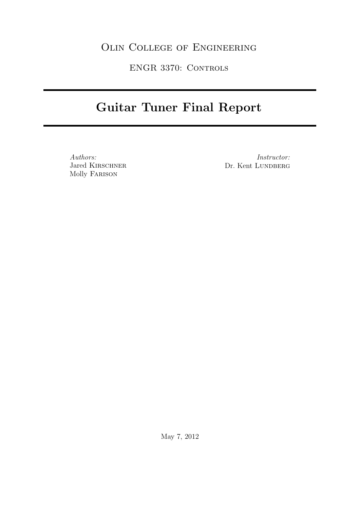# Olin College of Engineering

ENGR 3370: Controls

# Guitar Tuner Final Report

Authors: Jared KIRSCHNER Molly Farison

Instructor: Dr. Kent LUNDBERG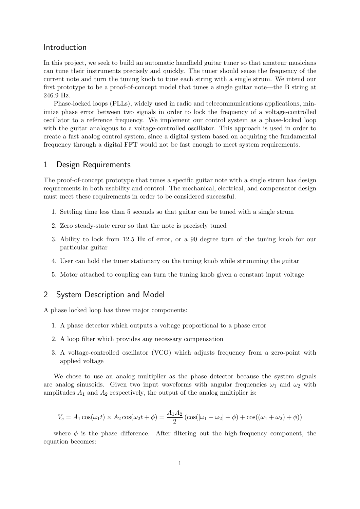# Introduction

In this project, we seek to build an automatic handheld guitar tuner so that amateur musicians can tune their instruments precisely and quickly. The tuner should sense the frequency of the current note and turn the tuning knob to tune each string with a single strum. We intend our first prototype to be a proof-of-concept model that tunes a single guitar note—the B string at 246.9 Hz.

Phase-locked loops (PLLs), widely used in radio and telecommunications applications, minimize phase error between two signals in order to lock the frequency of a voltage-controlled oscillator to a reference frequency. We implement our control system as a phase-locked loop with the guitar analogous to a voltage-controlled oscillator. This approach is used in order to create a fast analog control system, since a digital system based on acquiring the fundamental frequency through a digital FFT would not be fast enough to meet system requirements.

# 1 Design Requirements

The proof-of-concept prototype that tunes a specific guitar note with a single strum has design requirements in both usability and control. The mechanical, electrical, and compensator design must meet these requirements in order to be considered successful.

- 1. Settling time less than 5 seconds so that guitar can be tuned with a single strum
- 2. Zero steady-state error so that the note is precisely tuned
- 3. Ability to lock from 12.5 Hz of error, or a 90 degree turn of the tuning knob for our particular guitar
- 4. User can hold the tuner stationary on the tuning knob while strumming the guitar
- 5. Motor attached to coupling can turn the tuning knob given a constant input voltage

# 2 System Description and Model

A phase locked loop has three major components:

- 1. A phase detector which outputs a voltage proportional to a phase error
- 2. A loop filter which provides any necessary compensation
- 3. A voltage-controlled oscillator (VCO) which adjusts frequency from a zero-point with applied voltage

We chose to use an analog multiplier as the phase detector because the system signals are analog sinusoids. Given two input waveforms with angular frequencies  $\omega_1$  and  $\omega_2$  with amplitudes  $A_1$  and  $A_2$  respectively, the output of the analog multiplier is:

$$
V_e = A_1 \cos(\omega_1 t) \times A_2 \cos(\omega_2 t + \phi) = \frac{A_1 A_2}{2} (\cos(|\omega_1 - \omega_2| + \phi) + \cos((\omega_1 + \omega_2) + \phi))
$$

where  $\phi$  is the phase difference. After filtering out the high-frequency component, the equation becomes: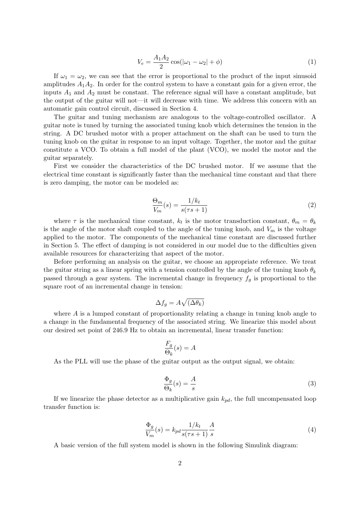$$
V_e = \frac{A_1 A_2}{2} \cos(|\omega_1 - \omega_2| + \phi)
$$
 (1)

If  $\omega_1 = \omega_2$ , we can see that the error is proportional to the product of the input sinusoid amplitudes  $A_1A_2$ . In order for the control system to have a constant gain for a given error, the inputs  $A_1$  and  $A_2$  must be constant. The reference signal will have a constant amplitude, but the output of the guitar will not—it will decrease with time. We address this concern with an automatic gain control circuit, discussed in Section 4.

The guitar and tuning mechanism are analogous to the voltage-controlled oscillator. A guitar note is tuned by turning the associated tuning knob which determines the tension in the string. A DC brushed motor with a proper attachment on the shaft can be used to turn the tuning knob on the guitar in response to an input voltage. Together, the motor and the guitar constitute a VCO. To obtain a full model of the plant (VCO), we model the motor and the guitar separately.

First we consider the characteristics of the DC brushed motor. If we assume that the electrical time constant is significantly faster than the mechanical time constant and that there is zero damping, the motor can be modeled as:

$$
\frac{\Theta_m}{V_m}(s) = \frac{1/k_t}{s(\tau s + 1)}\tag{2}
$$

where  $\tau$  is the mechanical time constant,  $k_t$  is the motor transduction constant,  $\theta_m = \theta_k$ is the angle of the motor shaft coupled to the angle of the tuning knob, and  $V_m$  is the voltage applied to the motor. The components of the mechanical time constant are discussed further in Section 5. The effect of damping is not considered in our model due to the difficulties given available resources for characterizing that aspect of the motor.

Before performing an analysis on the guitar, we choose an appropriate reference. We treat the guitar string as a linear spring with a tension controlled by the angle of the tuning knob  $\theta_k$ passed through a gear system. The incremental change in frequency  $f<sub>g</sub>$  is proportional to the square root of an incremental change in tension:

$$
\Delta f_g = A \sqrt{(\Delta \theta_k)}
$$

where  $A$  is a lumped constant of proportionality relating a change in tuning knob angle to a change in the fundamental frequency of the associated string. We linearize this model about our desired set point of 246.9 Hz to obtain an incremental, linear transfer function:

$$
\frac{F_g}{\Theta_k}(s) = A
$$

As the PLL will use the phase of the guitar output as the output signal, we obtain:

$$
\frac{\Phi_g}{\Theta_k}(s) = \frac{A}{s} \tag{3}
$$

If we linearize the phase detector as a multiplicative gain  $k_{pd}$ , the full uncompensated loop transfer function is:

$$
\frac{\Phi_g}{V_m}(s) = k_{pd} \frac{1/k_t}{s(\tau s + 1)} \frac{A}{s}
$$
\n<sup>(4)</sup>

A basic version of the full system model is shown in the following Simulink diagram: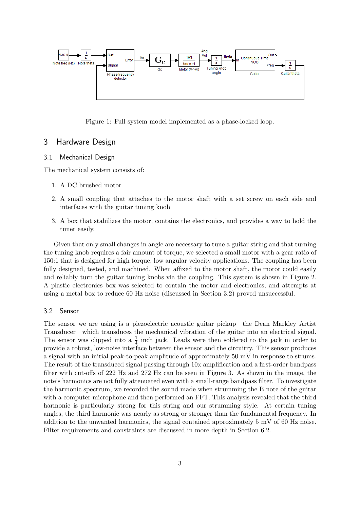

Figure 1: Full system model implemented as a phase-locked loop.

# 3 Hardware Design

#### 3.1 Mechanical Design

The mechanical system consists of:

- 1. A DC brushed motor
- 2. A small coupling that attaches to the motor shaft with a set screw on each side and interfaces with the guitar tuning knob
- 3. A box that stabilizes the motor, contains the electronics, and provides a way to hold the tuner easily.

Given that only small changes in angle are necessary to tune a guitar string and that turning the tuning knob requires a fair amount of torque, we selected a small motor with a gear ratio of 150:1 that is designed for high torque, low angular velocity applications. The coupling has been fully designed, tested, and machined. When affixed to the motor shaft, the motor could easily and reliably turn the guitar tuning knobs via the coupling. This system is shown in Figure 2. A plastic electronics box was selected to contain the motor and electronics, and attempts at using a metal box to reduce 60 Hz noise (discussed in Section 3.2) proved unsuccessful.

### 3.2 Sensor

The sensor we are using is a piezoelectric acoustic guitar pickup—the Dean Markley Artist Transducer—which transduces the mechanical vibration of the guitar into an electrical signal. The sensor was clipped into a  $\frac{1}{4}$  inch jack. Leads were then soldered to the jack in order to provide a robust, low-noise interface between the sensor and the circuitry. This sensor produces a signal with an initial peak-to-peak amplitude of approximately 50 mV in response to strums. The result of the transduced signal passing through 10x amplification and a first-order bandpass filter with cut-offs of 222 Hz and 272 Hz can be seen in Figure 3. As shown in the image, the note's harmonics are not fully attenuated even with a small-range bandpass filter. To investigate the harmonic spectrum, we recorded the sound made when strumming the B note of the guitar with a computer microphone and then performed an FFT. This analysis revealed that the third harmonic is particularly strong for this string and our strumming style. At certain tuning angles, the third harmonic was nearly as strong or stronger than the fundamental frequency. In addition to the unwanted harmonics, the signal contained approximately 5 mV of 60 Hz noise. Filter requirements and constraints are discussed in more depth in Section 6.2.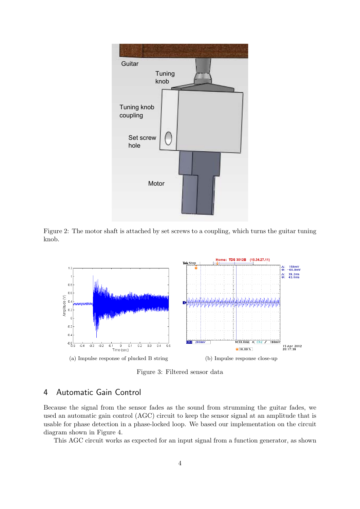

Figure 2: The motor shaft is attached by set screws to a coupling, which turns the guitar tuning knob.



Figure 3: Filtered sensor data

# 4 Automatic Gain Control

Because the signal from the sensor fades as the sound from strumming the guitar fades, we used an automatic gain control (AGC) circuit to keep the sensor signal at an amplitude that is usable for phase detection in a phase-locked loop. We based our implementation on the circuit diagram shown in Figure 4.

This AGC circuit works as expected for an input signal from a function generator, as shown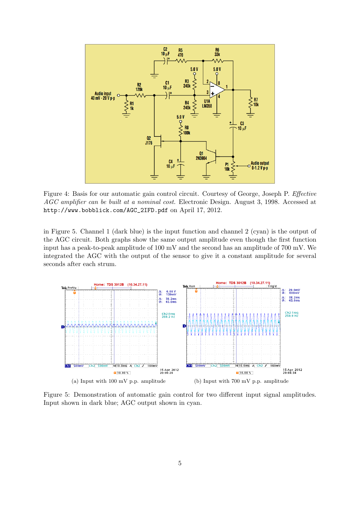

Figure 4: Basis for our automatic gain control circuit. Courtesy of George, Joseph P. Effective AGC amplifier can be built at a nominal cost. Electronic Design. August 3, 1998. Accessed at http://www.bobblick.com/AGC\_2IFD.pdf on April 17, 2012.

in Figure 5. Channel 1 (dark blue) is the input function and channel 2 (cyan) is the output of the AGC circuit. Both graphs show the same output amplitude even though the first function input has a peak-to-peak amplitude of 100 mV and the second has an amplitude of 700 mV. We integrated the AGC with the output of the sensor to give it a constant amplitude for several seconds after each strum.



Figure 5: Demonstration of automatic gain control for two different input signal amplitudes. Input shown in dark blue; AGC output shown in cyan.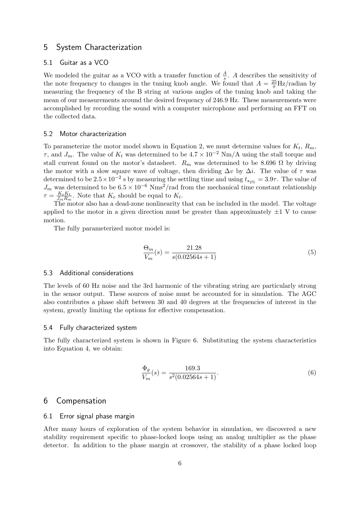# 5 System Characterization

#### 5.1 Guitar as a VCO

We modeled the guitar as a VCO with a transfer function of  $\frac{A}{s}$ . A describes the sensitivity of the note frequency to changes in the tuning knob angle. We found that  $A = \frac{25}{\pi} Hz/r$  adian by measuring the frequency of the B string at various angles of the tuning knob and taking the mean of our measurements around the desired frequency of 246.9 Hz. These measurements were accomplished by recording the sound with a computer microphone and performing an FFT on the collected data.

#### 5.2 Motor characterization

To parameterize the motor model shown in Equation 2, we must determine values for  $K_t$ ,  $R_m$ ,  $\tau$ , and  $J_m$ . The value of  $K_t$  was determined to be  $4.7 \times 10^{-2}$  Nm/A using the stall torque and stall current found on the motor's datasheet.  $R_m$  was determined to be 8.696  $\Omega$  by driving the motor with a slow square wave of voltage, then dividing  $\Delta v$  by  $\Delta i$ . The value of  $\tau$  was determined to be  $2.5 \times 10^{-2}$  s by measuring the settling time and using  $t_{s_2\%} = 3.9\tau$ . The value of  $J_m$  was determined to be  $6.5 \times 10^{-6}$  Nms<sup>2</sup>/rad from the mechanical time constant relationship  $\tau = \frac{K_e K_t}{L_e R_e}$  $\frac{K_e K_t}{J_m R_m}$ . Note that  $K_e$  should be equal to  $K_t$ .

The motor also has a dead-zone nonlinearity that can be included in the model. The voltage applied to the motor in a given direction must be greater than approximately  $\pm 1$  V to cause motion.

The fully parameterized motor model is:

$$
\frac{\Theta_m}{V_m}(s) = \frac{21.28}{s(0.02564s + 1)}
$$
\n(5)

#### 5.3 Additional considerations

The levels of 60 Hz noise and the 3rd harmonic of the vibrating string are particularly strong in the sensor output. These sources of noise must be accounted for in simulation. The AGC also contributes a phase shift between 30 and 40 degrees at the frequencies of interest in the system, greatly limiting the options for effective compensation.

#### 5.4 Fully characterized system

The fully characterized system is shown in Figure 6. Substituting the system characteristics into Equation 4, we obtain:

$$
\frac{\Phi_g}{V_m}(s) = \frac{169.3}{s^2(0.02564s + 1)}.\tag{6}
$$

## 6 Compensation

#### 6.1 Error signal phase margin

After many hours of exploration of the system behavior in simulation, we discovered a new stability requirement specific to phase-locked loops using an analog multiplier as the phase detector. In addition to the phase margin at crossover, the stability of a phase locked loop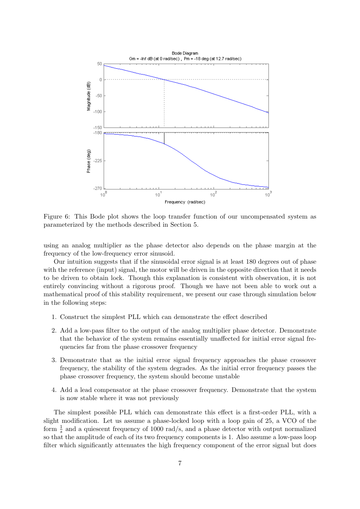

Figure 6: This Bode plot shows the loop transfer function of our uncompensated system as parameterized by the methods described in Section 5.

using an analog multiplier as the phase detector also depends on the phase margin at the frequency of the low-frequency error sinusoid.

Our intuition suggests that if the sinusoidal error signal is at least 180 degrees out of phase with the reference (input) signal, the motor will be driven in the opposite direction that it needs to be driven to obtain lock. Though this explanation is consistent with observation, it is not entirely convincing without a rigorous proof. Though we have not been able to work out a mathematical proof of this stability requirement, we present our case through simulation below in the following steps:

- 1. Construct the simplest PLL which can demonstrate the effect described
- 2. Add a low-pass filter to the output of the analog multiplier phase detector. Demonstrate that the behavior of the system remains essentially unaffected for initial error signal frequencies far from the phase crossover frequency
- 3. Demonstrate that as the initial error signal frequency approaches the phase crossover frequency, the stability of the system degrades. As the initial error frequency passes the phase crossover frequency, the system should become unstable
- 4. Add a lead compensator at the phase crossover frequency. Demonstrate that the system is now stable where it was not previously

The simplest possible PLL which can demonstrate this effect is a first-order PLL, with a slight modification. Let us assume a phase-locked loop with a loop gain of 25, a VCO of the form  $\frac{1}{s}$  and a quiescent frequency of 1000 rad/s, and a phase detector with output normalized so that the amplitude of each of its two frequency components is 1. Also assume a low-pass loop filter which significantly attenuates the high frequency component of the error signal but does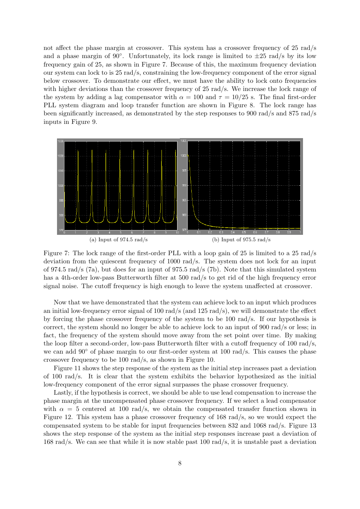not affect the phase margin at crossover. This system has a crossover frequency of 25 rad/s and a phase margin of 90°. Unfortunately, its lock range is limited to  $\pm 25$  rad/s by its low frequency gain of 25, as shown in Figure 7. Because of this, the maximum frequency deviation our system can lock to is 25 rad/s, constraining the low-frequency component of the error signal below crossover. To demonstrate our effect, we must have the ability to lock onto frequencies with higher deviations than the crossover frequency of 25 rad/s. We increase the lock range of the system by adding a lag compensator with  $\alpha = 100$  and  $\tau = 10/25$  s. The final first-order PLL system diagram and loop transfer function are shown in Figure 8. The lock range has been significantly increased, as demonstrated by the step responses to 900 rad/s and 875 rad/s inputs in Figure 9.



Figure 7: The lock range of the first-order PLL with a loop gain of 25 is limited to a 25 rad/s deviation from the quiescent frequency of 1000 rad/s. The system does not lock for an input of 974.5 rad/s (7a), but does for an input of 975.5 rad/s (7b). Note that this simulated system has a 4th-order low-pass Butterworth filter at 500 rad/s to get rid of the high frequency error signal noise. The cutoff frequency is high enough to leave the system unaffected at crossover.

Now that we have demonstrated that the system can achieve lock to an input which produces an initial low-frequency error signal of 100 rad/s (and 125 rad/s), we will demonstrate the effect by forcing the phase crossover frequency of the system to be 100 rad/s. If our hypothesis is correct, the system should no longer be able to achieve lock to an input of 900 rad/s or less; in fact, the frequency of the system should move away from the set point over time. By making the loop filter a second-order, low-pass Butterworth filter with a cutoff frequency of 100 rad/s, we can add  $90^{\circ}$  of phase margin to our first-order system at 100 rad/s. This causes the phase crossover frequency to be 100 rad/s, as shown in Figure 10.

Figure 11 shows the step response of the system as the initial step increases past a deviation of 100 rad/s. It is clear that the system exhibits the behavior hypothesized as the initial low-frequency component of the error signal surpasses the phase crossover frequency.

Lastly, if the hypothesis is correct, we should be able to use lead compensation to increase the phase margin at the uncompensated phase crossover frequency. If we select a lead compensator with  $\alpha = 5$  centered at 100 rad/s, we obtain the compensated transfer function shown in Figure 12. This system has a phase crossover frequency of 168 rad/s, so we would expect the compensated system to be stable for input frequencies between 832 and 1068 rad/s. Figure 13 shows the step response of the system as the initial step responses increase past a deviation of 168 rad/s. We can see that while it is now stable past 100 rad/s, it is unstable past a deviation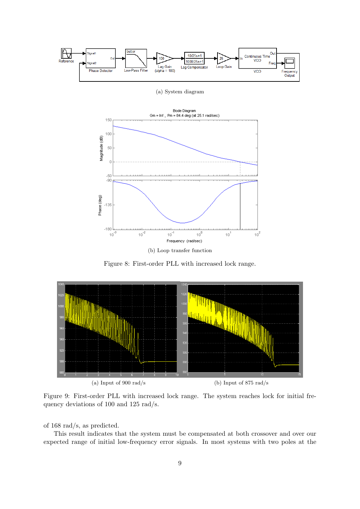



(b) Loop transfer function

Figure 8: First-order PLL with increased lock range.



Figure 9: First-order PLL with increased lock range. The system reaches lock for initial frequency deviations of 100 and 125 rad/s.

of 168 rad/s, as predicted.

This result indicates that the system must be compensated at both crossover and over our expected range of initial low-frequency error signals. In most systems with two poles at the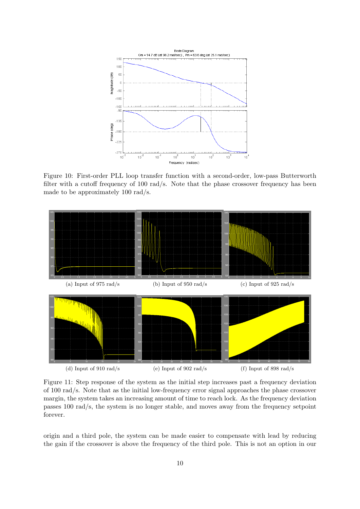

Figure 10: First-order PLL loop transfer function with a second-order, low-pass Butterworth filter with a cutoff frequency of 100 rad/s. Note that the phase crossover frequency has been made to be approximately 100 rad/s.



Figure 11: Step response of the system as the initial step increases past a frequency deviation of 100 rad/s. Note that as the initial low-frequency error signal approaches the phase crossover margin, the system takes an increasing amount of time to reach lock. As the frequency deviation passes 100 rad/s, the system is no longer stable, and moves away from the frequency setpoint forever.

origin and a third pole, the system can be made easier to compensate with lead by reducing the gain if the crossover is above the frequency of the third pole. This is not an option in our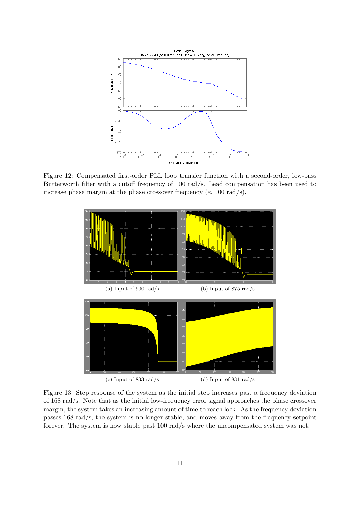

Figure 12: Compensated first-order PLL loop transfer function with a second-order, low-pass Butterworth filter with a cutoff frequency of 100 rad/s. Lead compensation has been used to increase phase margin at the phase crossover frequency ( $\approx 100 \text{ rad/s}$ ).



Figure 13: Step response of the system as the initial step increases past a frequency deviation of 168 rad/s. Note that as the initial low-frequency error signal approaches the phase crossover margin, the system takes an increasing amount of time to reach lock. As the frequency deviation passes 168 rad/s, the system is no longer stable, and moves away from the frequency setpoint forever. The system is now stable past 100 rad/s where the uncompensated system was not.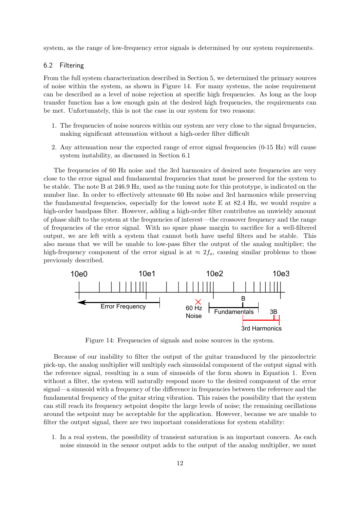system, as the range of low-frequency error signals is determined by our system requirements.

#### 6.2 Filtering

From the full system characterization described in Section 5, we determined the primary sources of noise within the system, as shown in Figure 14. For many systems, the noise requirement can be described as a level of noise rejection at specific high frequencies. As long as the loop transfer function has a low enough gain at the desired high frequencies, the requirements can be met. Unfortunately, this is not the case in our system for two reasons:

- 1. The frequencies of noise sources within our system are very close to the signal frequencies, making significant attenuation without a high-order filter difficult
- 2. Any attenuation near the expected range of error signal frequencies (0-15 Hz) will cause system instability, as discussed in Section 6.1

The frequencies of 60 Hz noise and the 3rd harmonics of desired note frequencies are very close to the error signal and fundamental frequencies that must be preserved for the system to be stable. The note B at 246.9 Hz, used as the tuning note for this prototype, is indicated on the number line. In order to effectively attenuate 60 Hz noise and 3rd harmonics while preserving the fundamental frequencies, especially for the lowest note E at 82.4 Hz, we would require a high-order bandpass filter. However, adding a high-order filter contributes an unwieldy amount of phase shift to the system at the frequencies of interest—the crossover frequency and the range of frequencies of the error signal. With no spare phase margin to sacrifice for a well-filtered output, we are left with a system that cannot both have useful filters and be stable. This also means that we will be unable to low-pass filter the output of the analog multiplier; the high-frequency component of the error signal is at  $\approx 2f_o$ , causing similar problems to those previously described.



Figure 14: Frequencies of signals and noise sources in the system.

Because of our inability to filter the output of the guitar transduced by the piezoelectric pick-up, the analog multiplier will multiply each sinusoidal component of the output signal with the reference signal, resulting in a sum of sinusoids of the form shown in Equation 1. Even without a filter, the system will naturally respond more to the desired component of the error signal—a sinusoid with a frequency of the difference in frequencies between the reference and the fundamental frequency of the guitar string vibration. This raises the possibility that the system can still reach its frequency setpoint despite the large levels of noise; the remaining oscillations around the setpoint may be acceptable for the application. However, because we are unable to filter the output signal, there are two important considerations for system stability:

1. In a real system, the possibility of transient saturation is an important concern. As each noise sinusoid in the sensor output adds to the output of the analog multiplier, we must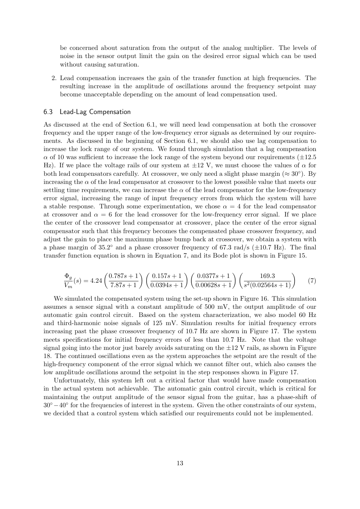be concerned about saturation from the output of the analog multiplier. The levels of noise in the sensor output limit the gain on the desired error signal which can be used without causing saturation.

2. Lead compensation increases the gain of the transfer function at high frequencies. The resulting increase in the amplitude of oscillations around the frequency setpoint may become unacceptable depending on the amount of lead compensation used.

#### 6.3 Lead-Lag Compensation

As discussed at the end of Section 6.1, we will need lead compensation at both the crossover frequency and the upper range of the low-frequency error signals as determined by our requirements. As discussed in the beginning of Section 6.1, we should also use lag compensation to increase the lock range of our system. We found through simulation that a lag compensation  $\alpha$  of 10 was sufficient to increase the lock range of the system beyond our requirements ( $\pm 12.5$ ) Hz). If we place the voltage rails of our system at  $\pm 12$  V, we must choose the values of  $\alpha$  for both lead compensators carefully. At crossover, we only need a slight phase margin ( $\approx 30^{\circ}$ ). By increasing the  $\alpha$  of the lead compensator at crossover to the lowest possible value that meets our settling time requirements, we can increase the  $\alpha$  of the lead compensator for the low-frequency error signal, increasing the range of input frequency errors from which the system will have a stable response. Through some experimentation, we chose  $\alpha = 4$  for the lead compensator at crossover and  $\alpha = 6$  for the lead crossover for the low-frequency error signal. If we place the center of the crossover lead compensator at crossover, place the center of the error signal compensator such that this frequency becomes the compensated phase crossover frequency, and adjust the gain to place the maximum phase bump back at crossover, we obtain a system with a phase margin of  $35.2^{\circ}$  and a phase crossover frequency of 67.3 rad/s ( $\pm 10.7$  Hz). The final transfer function equation is shown in Equation 7, and its Bode plot is shown in Figure 15.

$$
\frac{\Phi_g}{V_m}(s) = 4.24 \left( \frac{0.787s + 1}{7.87s + 1} \right) \left( \frac{0.157s + 1}{0.0394s + 1} \right) \left( \frac{0.0377s + 1}{0.00628s + 1} \right) \left( \frac{169.3}{s^2(0.02564s + 1)} \right) \tag{7}
$$

We simulated the compensated system using the set-up shown in Figure 16. This simulation assumes a sensor signal with a constant amplitude of 500 mV, the output amplitude of our automatic gain control circuit. Based on the system characterization, we also model 60 Hz and third-harmonic noise signals of 125 mV. Simulation results for initial frequency errors increasing past the phase crossover frequency of 10.7 Hz are shown in Figure 17. The system meets specifications for initial frequency errors of less than 10.7 Hz. Note that the voltage signal going into the motor just barely avoids saturating on the  $\pm 12$  V rails, as shown in Figure 18. The continued oscillations even as the system approaches the setpoint are the result of the high-frequency component of the error signal which we cannot filter out, which also causes the low amplitude oscillations around the setpoint in the step responses shown in Figure 17.

Unfortunately, this system left out a critical factor that would have made compensation in the actual system not achievable. The automatic gain control circuit, which is critical for maintaining the output amplitude of the sensor signal from the guitar, has a phase-shift of 30<sup>°</sup> −40° for the frequencies of interest in the system. Given the other constraints of our system, we decided that a control system which satisfied our requirements could not be implemented.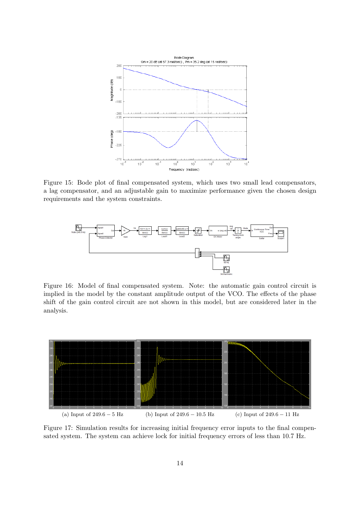

Figure 15: Bode plot of final compensated system, which uses two small lead compensators, a lag compensator, and an adjustable gain to maximize performance given the chosen design requirements and the system constraints.



Figure 16: Model of final compensated system. Note: the automatic gain control circuit is implied in the model by the constant amplitude output of the VCO. The effects of the phase shift of the gain control circuit are not shown in this model, but are considered later in the analysis.



Figure 17: Simulation results for increasing initial frequency error inputs to the final compensated system. The system can achieve lock for initial frequency errors of less than 10.7 Hz.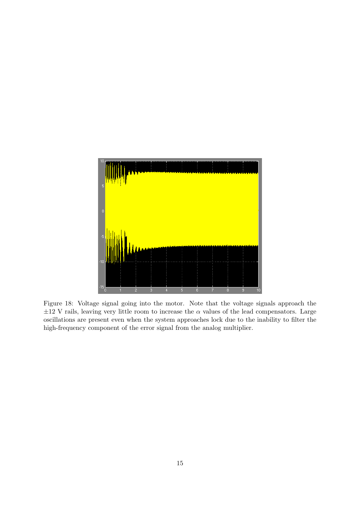

Figure 18: Voltage signal going into the motor. Note that the voltage signals approach the  $\pm 12$  V rails, leaving very little room to increase the  $\alpha$  values of the lead compensators. Large oscillations are present even when the system approaches lock due to the inability to filter the high-frequency component of the error signal from the analog multiplier.